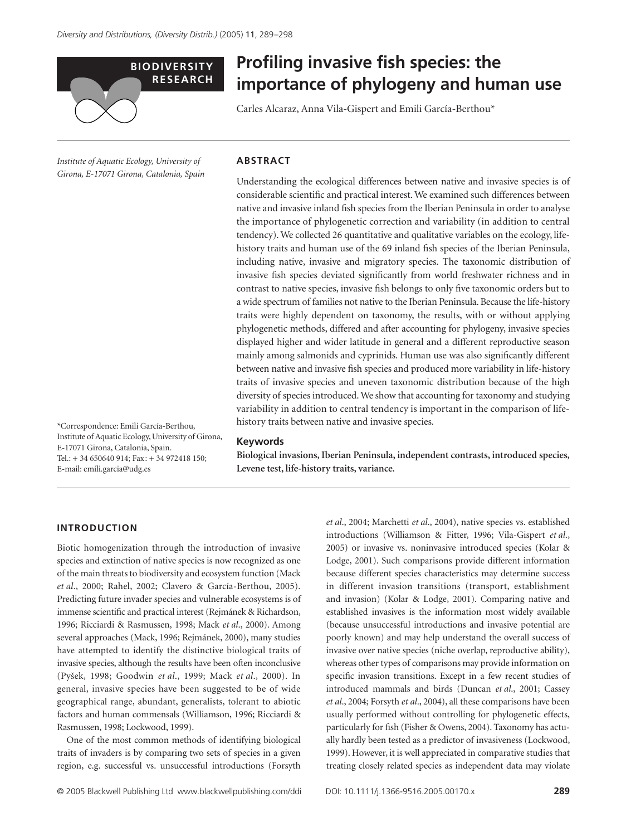

# **Profiling invasive fish species: the importance of phylogeny and human use**

Carles Alcaraz, Anna Vila-Gispert and Emili García-Berthou\*

*Institute of Aquatic Ecology, University of Girona, E-17071 Girona, Catalonia, Spain* 

#### **ABSTRACT**

Understanding the ecological differences between native and invasive species is of considerable scientific and practical interest. We examined such differences between native and invasive inland fish species from the Iberian Peninsula in order to analyse the importance of phylogenetic correction and variability (in addition to central tendency). We collected 26 quantitative and qualitative variables on the ecology, lifehistory traits and human use of the 69 inland fish species of the Iberian Peninsula, including native, invasive and migratory species. The taxonomic distribution of invasive fish species deviated significantly from world freshwater richness and in contrast to native species, invasive fish belongs to only five taxonomic orders but to a wide spectrum of families not native to the Iberian Peninsula. Because the life-history traits were highly dependent on taxonomy, the results, with or without applying phylogenetic methods, differed and after accounting for phylogeny, invasive species displayed higher and wider latitude in general and a different reproductive season mainly among salmonids and cyprinids. Human use was also significantly different between native and invasive fish species and produced more variability in life-history traits of invasive species and uneven taxonomic distribution because of the high diversity of species introduced. We show that accounting for taxonomy and studying variability in addition to central tendency is important in the comparison of lifehistory traits between native and invasive species.

Institute of Aquatic Ecology, University of Girona, E-17071 Girona, Catalonia, Spain. Tel.: + 34 650640 914; Fax: + 34 972418 150;

\*Correspondence: Emili García-Berthou,

#### **Keywords**

**Biological invasions, Iberian Peninsula, independent contrasts, introduced species, Levene test, life-history traits, variance.**

### **INTRODUCTION**

E-mail: emili.garcia@udg.es

Biotic homogenization through the introduction of invasive species and extinction of native species is now recognized as one of the main threats to biodiversity and ecosystem function (Mack *et al*., 2000; Rahel, 2002; Clavero & García-Berthou, 2005). Predicting future invader species and vulnerable ecosystems is of immense scientific and practical interest (Rejmánek & Richardson, 1996; Ricciardi & Rasmussen, 1998; Mack *et al*., 2000). Among several approaches (Mack, 1996; Rejmánek, 2000), many studies have attempted to identify the distinctive biological traits of invasive species, although the results have been often inconclusive (Py*Í*ek, 1998; Goodwin *et al*., 1999; Mack *et al*., 2000). In general, invasive species have been suggested to be of wide geographical range, abundant, generalists, tolerant to abiotic factors and human commensals (Williamson, 1996; Ricciardi & Rasmussen, 1998; Lockwood, 1999).

One of the most common methods of identifying biological traits of invaders is by comparing two sets of species in a given region, e.g. successful vs. unsuccessful introductions (Forsyth

*et al*., 2004; Marchetti *et al*., 2004), native species vs. established introductions (Williamson & Fitter, 1996; Vila-Gispert *et al*., 2005) or invasive vs. noninvasive introduced species (Kolar & Lodge, 2001). Such comparisons provide different information because different species characteristics may determine success in different invasion transitions (transport, establishment and invasion) (Kolar & Lodge, 2001). Comparing native and established invasives is the information most widely available (because unsuccessful introductions and invasive potential are poorly known) and may help understand the overall success of invasive over native species (niche overlap, reproductive ability), whereas other types of comparisons may provide information on specific invasion transitions. Except in a few recent studies of introduced mammals and birds (Duncan *et al*., 2001; Cassey *et al*., 2004; Forsyth *et al*., 2004), all these comparisons have been usually performed without controlling for phylogenetic effects, particularly for fish (Fisher & Owens, 2004). Taxonomy has actually hardly been tested as a predictor of invasiveness (Lockwood, 1999). However, it is well appreciated in comparative studies that treating closely related species as independent data may violate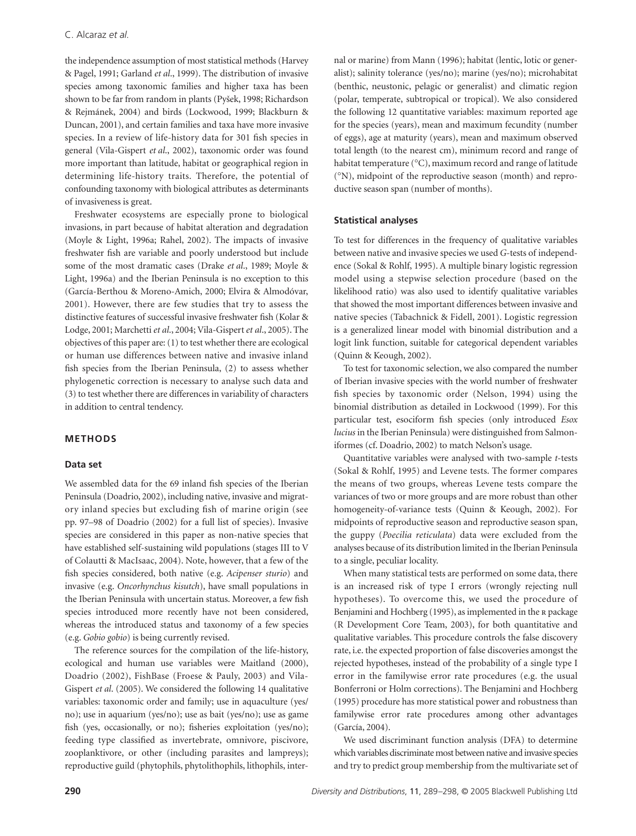the independence assumption of most statistical methods (Harvey & Pagel, 1991; Garland *et al*., 1999). The distribution of invasive species among taxonomic families and higher taxa has been shown to be far from random in plants (Py*Í*ek, 1998; Richardson & Rejmánek, 2004) and birds (Lockwood, 1999; Blackburn & Duncan, 2001), and certain families and taxa have more invasive species. In a review of life-history data for 301 fish species in general (Vila-Gispert *et al*., 2002), taxonomic order was found more important than latitude, habitat or geographical region in determining life-history traits. Therefore, the potential of confounding taxonomy with biological attributes as determinants of invasiveness is great.

Freshwater ecosystems are especially prone to biological invasions, in part because of habitat alteration and degradation (Moyle & Light, 1996a; Rahel, 2002). The impacts of invasive freshwater fish are variable and poorly understood but include some of the most dramatic cases (Drake *et al*., 1989; Moyle & Light, 1996a) and the Iberian Peninsula is no exception to this (García-Berthou & Moreno-Amich, 2000; Elvira & Almodóvar, 2001). However, there are few studies that try to assess the distinctive features of successful invasive freshwater fish (Kolar & Lodge, 2001; Marchetti *et al*., 2004; Vila-Gispert *et al*., 2005). The objectives of this paper are: (1) to test whether there are ecological or human use differences between native and invasive inland fish species from the Iberian Peninsula, (2) to assess whether phylogenetic correction is necessary to analyse such data and (3) to test whether there are differences in variability of characters in addition to central tendency.

## **METHODS**

#### **Data set**

We assembled data for the 69 inland fish species of the Iberian Peninsula (Doadrio, 2002), including native, invasive and migratory inland species but excluding fish of marine origin (see pp. 97–98 of Doadrio (2002) for a full list of species). Invasive species are considered in this paper as non-native species that have established self-sustaining wild populations (stages III to V of Colautti & MacIsaac, 2004). Note, however, that a few of the fish species considered, both native (e.g. *Acipenser sturio*) and invasive (e.g. *Oncorhynchus kisutch*), have small populations in the Iberian Peninsula with uncertain status. Moreover, a few fish species introduced more recently have not been considered, whereas the introduced status and taxonomy of a few species (e.g. *Gobio gobio*) is being currently revised.

The reference sources for the compilation of the life-history, ecological and human use variables were Maitland (2000), Doadrio (2002), FishBase (Froese & Pauly, 2003) and Vila-Gispert *et al*. (2005). We considered the following 14 qualitative variables: taxonomic order and family; use in aquaculture (yes/ no); use in aquarium (yes/no); use as bait (yes/no); use as game fish (yes, occasionally, or no); fisheries exploitation (yes/no); feeding type classified as invertebrate, omnivore, piscivore, zooplanktivore, or other (including parasites and lampreys); reproductive guild (phytophils, phytolithophils, lithophils, internal or marine) from Mann (1996); habitat (lentic, lotic or generalist); salinity tolerance (yes/no); marine (yes/no); microhabitat (benthic, neustonic, pelagic or generalist) and climatic region (polar, temperate, subtropical or tropical). We also considered the following 12 quantitative variables: maximum reported age for the species (years), mean and maximum fecundity (number of eggs), age at maturity (years), mean and maximum observed total length (to the nearest cm), minimum record and range of habitat temperature (°C), maximum record and range of latitude (°N), midpoint of the reproductive season (month) and reproductive season span (number of months).

#### **Statistical analyses**

To test for differences in the frequency of qualitative variables between native and invasive species we used *G*-tests of independence (Sokal & Rohlf, 1995). A multiple binary logistic regression model using a stepwise selection procedure (based on the likelihood ratio) was also used to identify qualitative variables that showed the most important differences between invasive and native species (Tabachnick & Fidell, 2001). Logistic regression is a generalized linear model with binomial distribution and a logit link function, suitable for categorical dependent variables (Quinn & Keough, 2002).

To test for taxonomic selection, we also compared the number of Iberian invasive species with the world number of freshwater fish species by taxonomic order (Nelson, 1994) using the binomial distribution as detailed in Lockwood (1999). For this particular test, esociform fish species (only introduced *Esox lucius* in the Iberian Peninsula) were distinguished from Salmoniformes (cf. Doadrio, 2002) to match Nelson's usage.

Quantitative variables were analysed with two-sample *t*-tests (Sokal & Rohlf, 1995) and Levene tests. The former compares the means of two groups, whereas Levene tests compare the variances of two or more groups and are more robust than other homogeneity-of-variance tests (Quinn & Keough, 2002). For midpoints of reproductive season and reproductive season span, the guppy (*Poecilia reticulata*) data were excluded from the analyses because of its distribution limited in the Iberian Peninsula to a single, peculiar locality.

When many statistical tests are performed on some data, there is an increased risk of type I errors (wrongly rejecting null hypotheses). To overcome this, we used the procedure of Benjamini and Hochberg (1995), as implemented in the R package (R Development Core Team, 2003), for both quantitative and qualitative variables. This procedure controls the false discovery rate, i.e. the expected proportion of false discoveries amongst the rejected hypotheses, instead of the probability of a single type I error in the familywise error rate procedures (e.g. the usual Bonferroni or Holm corrections). The Benjamini and Hochberg (1995) procedure has more statistical power and robustness than familywise error rate procedures among other advantages (García, 2004).

We used discriminant function analysis (DFA) to determine which variables discriminate most between native and invasive species and try to predict group membership from the multivariate set of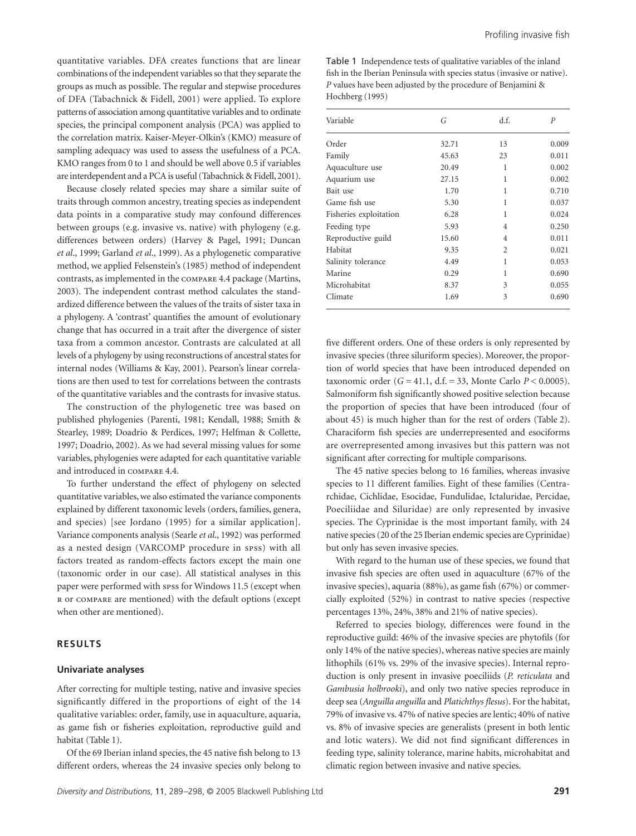quantitative variables. DFA creates functions that are linear combinations of the independent variables so that they separate the groups as much as possible. The regular and stepwise procedures of DFA (Tabachnick & Fidell, 2001) were applied. To explore patterns of association among quantitative variables and to ordinate species, the principal component analysis (PCA) was applied to the correlation matrix. Kaiser-Meyer-Olkin's (KMO) measure of sampling adequacy was used to assess the usefulness of a PCA. KMO ranges from 0 to 1 and should be well above 0.5 if variables are interdependent and a PCA is useful (Tabachnick & Fidell, 2001).

Because closely related species may share a similar suite of traits through common ancestry, treating species as independent data points in a comparative study may confound differences between groups (e.g. invasive vs. native) with phylogeny (e.g. differences between orders) (Harvey & Pagel, 1991; Duncan *et al*., 1999; Garland *et al*., 1999). As a phylogenetic comparative method, we applied Felsenstein's (1985) method of independent contrasts, as implemented in the COMPARE 4.4 package (Martins, 2003). The independent contrast method calculates the standardized difference between the values of the traits of sister taxa in a phylogeny. A 'contrast' quantifies the amount of evolutionary change that has occurred in a trait after the divergence of sister taxa from a common ancestor. Contrasts are calculated at all levels of a phylogeny by using reconstructions of ancestral states for internal nodes (Williams & Kay, 2001). Pearson's linear correlations are then used to test for correlations between the contrasts of the quantitative variables and the contrasts for invasive status.

The construction of the phylogenetic tree was based on published phylogenies (Parenti, 1981; Kendall, 1988; Smith & Stearley, 1989; Doadrio & Perdices, 1997; Helfman & Collette, 1997; Doadrio, 2002). As we had several missing values for some variables, phylogenies were adapted for each quantitative variable and introduced in  $\overline{COMPARE4.4}$ .

To further understand the effect of phylogeny on selected quantitative variables, we also estimated the variance components explained by different taxonomic levels (orders, families, genera, and species) [see Jordano (1995) for a similar application]. Variance components analysis (Searle *et al*., 1992) was performed as a nested design (VARCOMP procedure in spss) with all factors treated as random-effects factors except the main one (taxonomic order in our case). All statistical analyses in this paper were performed with spss for Windows 11.5 (except when R OT COMPARE are mentioned) with the default options (except when other are mentioned).

#### **RESULTS**

#### **Univariate analyses**

After correcting for multiple testing, native and invasive species significantly differed in the proportions of eight of the 14 qualitative variables: order, family, use in aquaculture, aquaria, as game fish or fisheries exploitation, reproductive guild and habitat (Table 1).

Of the 69 Iberian inland species, the 45 native fish belong to 13 different orders, whereas the 24 invasive species only belong to

Table 1 Independence tests of qualitative variables of the inland fish in the Iberian Peninsula with species status (invasive or native). *P* values have been adjusted by the procedure of Benjamini & Hochberg (1995)

| Variable               | G     | d.f.           | P     |
|------------------------|-------|----------------|-------|
| Order                  | 32.71 | 13             | 0.009 |
| Family                 | 45.63 | 23             | 0.011 |
| Aquaculture use        | 20.49 | 1              | 0.002 |
| Aquarium use           | 27.15 | 1              | 0.002 |
| Bait use               | 1.70  | 1              | 0.710 |
| Game fish use          | 5.30  | 1              | 0.037 |
| Fisheries exploitation | 6.28  | 1              | 0.024 |
| Feeding type           | 5.93  | 4              | 0.250 |
| Reproductive guild     | 15.60 | 4              | 0.011 |
| Habitat                | 9.35  | $\overline{c}$ | 0.021 |
| Salinity tolerance     | 4.49  | 1              | 0.053 |
| Marine                 | 0.29  | 1              | 0.690 |
| Microhabitat           | 8.37  | 3              | 0.055 |
| Climate                | 1.69  | 3              | 0.690 |

five different orders. One of these orders is only represented by invasive species (three siluriform species). Moreover, the proportion of world species that have been introduced depended on taxonomic order  $(G = 41.1, d.f. = 33, Monte Carlo *P* < 0.0005)$ . Salmoniform fish significantly showed positive selection because the proportion of species that have been introduced (four of about 45) is much higher than for the rest of orders (Table 2). Characiform fish species are underrepresented and esociforms are overrepresented among invasives but this pattern was not significant after correcting for multiple comparisons.

The 45 native species belong to 16 families, whereas invasive species to 11 different families. Eight of these families (Centrarchidae, Cichlidae, Esocidae, Fundulidae, Ictaluridae, Percidae, Poeciliidae and Siluridae) are only represented by invasive species. The Cyprinidae is the most important family, with 24 native species (20 of the 25 Iberian endemic species are Cyprinidae) but only has seven invasive species.

With regard to the human use of these species, we found that invasive fish species are often used in aquaculture (67% of the invasive species), aquaria (88%), as game fish (67%) or commercially exploited (52%) in contrast to native species (respective percentages 13%, 24%, 38% and 21% of native species).

Referred to species biology, differences were found in the reproductive guild: 46% of the invasive species are phytofils (for only 14% of the native species), whereas native species are mainly lithophils (61% vs. 29% of the invasive species). Internal reproduction is only present in invasive poeciliids (*P. reticulata* and *Gambusia holbrooki*), and only two native species reproduce in deep sea (*Anguilla anguilla* and *Platichthys flesus*). For the habitat, 79% of invasive vs. 47% of native species are lentic; 40% of native vs. 8% of invasive species are generalists (present in both lentic and lotic waters). We did not find significant differences in feeding type, salinity tolerance, marine habits, microhabitat and climatic region between invasive and native species.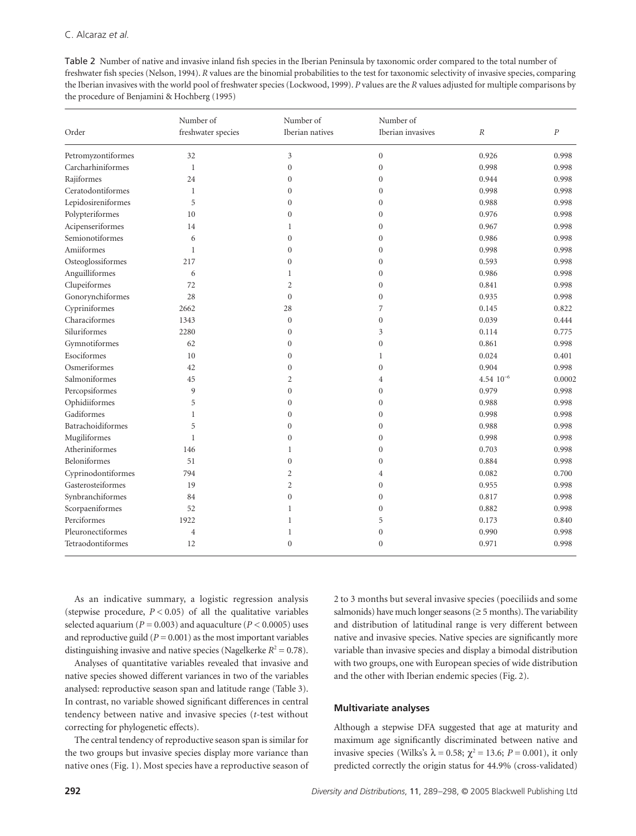| Table 2 Number of native and invasive inland fish species in the Iberian Peninsula by taxonomic order compared to the total number of                |
|------------------------------------------------------------------------------------------------------------------------------------------------------|
| freshwater fish species (Nelson, 1994). R values are the binomial probabilities to the test for taxonomic selectivity of invasive species, comparing |
| the Iberian invasives with the world pool of freshwater species (Lockwood, 1999). P values are the R values adjusted for multiple comparisons by     |
| the procedure of Benjamini & Hochberg (1995)                                                                                                         |

|                    | Number of          | Number of       | Number of         |                  |                  |
|--------------------|--------------------|-----------------|-------------------|------------------|------------------|
| Order              | freshwater species | Iberian natives | Iberian invasives | $\boldsymbol{R}$ | $\boldsymbol{P}$ |
| Petromyzontiformes | 32                 | 3               | $\boldsymbol{0}$  | 0.926            | 0.998            |
| Carcharhiniformes  | $\mathbf{1}$       | $\overline{0}$  | $\mathbf{0}$      | 0.998            | 0.998            |
| Rajiformes         | 24                 | $\overline{0}$  | $\mathbf{0}$      | 0.944            | 0.998            |
| Ceratodontiformes  | 1                  | $\theta$        | $\theta$          | 0.998            | 0.998            |
| Lepidosireniformes | 5                  | $\theta$        | $\theta$          | 0.988            | 0.998            |
| Polypteriformes    | 10                 | $\overline{0}$  | $\theta$          | 0.976            | 0.998            |
| Acipenseriformes   | 14                 | 1               | $\overline{0}$    | 0.967            | 0.998            |
| Semionotiformes    | 6                  | $\overline{0}$  | $\overline{0}$    | 0.986            | 0.998            |
| Amiiformes         | 1                  | $\overline{0}$  | $\theta$          | 0.998            | 0.998            |
| Osteoglossiformes  | 217                | $\overline{0}$  | $\theta$          | 0.593            | 0.998            |
| Anguilliformes     | 6                  | 1               | $\theta$          | 0.986            | 0.998            |
| Clupeiformes       | 72                 | $\overline{c}$  | $\overline{0}$    | 0.841            | 0.998            |
| Gonorynchiformes   | 28                 | $\theta$        | $\theta$          | 0.935            | 0.998            |
| Cypriniformes      | 2662               | 28              | 7                 | 0.145            | 0.822            |
| Characiformes      | 1343               | $\overline{0}$  | $\overline{0}$    | 0.039            | 0.444            |
| Siluriformes       | 2280               | $\overline{0}$  | 3                 | 0.114            | 0.775            |
| Gymnotiformes      | 62                 | 0               | $\overline{0}$    | 0.861            | 0.998            |
| Esociformes        | 10                 | $\theta$        | 1                 | 0.024            | 0.401            |
| Osmeriformes       | 42                 | $\overline{0}$  | $\theta$          | 0.904            | 0.998            |
| Salmoniformes      | 45                 | $\overline{2}$  | 4                 | $4.54~10^{-6}$   | 0.0002           |
| Percopsiformes     | 9                  | $\theta$        | $\theta$          | 0.979            | 0.998            |
| Ophidiiformes      | 5                  | $\overline{0}$  | $\theta$          | 0.988            | 0.998            |
| Gadiformes         | 1                  | $\theta$        | $\theta$          | 0.998            | 0.998            |
| Batrachoidiformes  | 5                  | $\theta$        | $\theta$          | 0.988            | 0.998            |
| Mugiliformes       | 1                  | $\theta$        | $\theta$          | 0.998            | 0.998            |
| Atheriniformes     | 146                | 1               | $\mathbf{0}$      | 0.703            | 0.998            |
| Beloniformes       | 51                 | 0               | $\mathbf{0}$      | 0.884            | 0.998            |
| Cyprinodontiformes | 794                | $\overline{2}$  | 4                 | 0.082            | 0.700            |
| Gasterosteiformes  | 19                 | $\overline{c}$  | $\mathbf{0}$      | 0.955            | 0.998            |
| Synbranchiformes   | 84                 | $\overline{0}$  | $\mathbf{0}$      | 0.817            | 0.998            |
| Scorpaeniformes    | 52                 | 1               | $\overline{0}$    | 0.882            | 0.998            |
| Perciformes        | 1922               | 1               | 5                 | 0.173            | 0.840            |
| Pleuronectiformes  | $\overline{4}$     | 1               | $\mathbf{0}$      | 0.990            | 0.998            |
| Tetraodontiformes  | 12                 | $\theta$        | $\Omega$          | 0.971            | 0.998            |

As an indicative summary, a logistic regression analysis (stepwise procedure,  $P < 0.05$ ) of all the qualitative variables selected aquarium (*P =* 0.003) and aquaculture (*P <* 0.0005) uses and reproductive guild (*P =* 0.001) as the most important variables distinguishing invasive and native species (Nagelkerke  $R^2 = 0.78$ ).

Analyses of quantitative variables revealed that invasive and native species showed different variances in two of the variables analysed: reproductive season span and latitude range (Table 3). In contrast, no variable showed significant differences in central tendency between native and invasive species (*t*-test without correcting for phylogenetic effects).

The central tendency of reproductive season span is similar for the two groups but invasive species display more variance than native ones (Fig. 1). Most species have a reproductive season of 2 to 3 months but several invasive species (poeciliids and some salmonids) have much longer seasons ( $\geq$  5 months). The variability and distribution of latitudinal range is very different between native and invasive species. Native species are significantly more variable than invasive species and display a bimodal distribution with two groups, one with European species of wide distribution and the other with Iberian endemic species (Fig. 2).

## **Multivariate analyses**

Although a stepwise DFA suggested that age at maturity and maximum age significantly discriminated between native and invasive species (Wilks's  $\lambda = 0.58$ ;  $\chi^2 = 13.6$ ; *P* = 0.001), it only predicted correctly the origin status for 44.9% (cross-validated)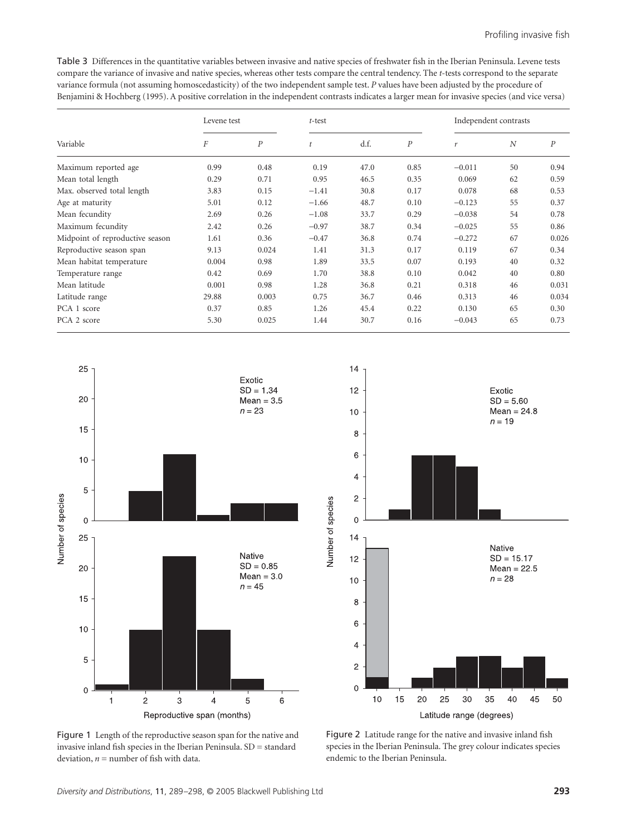Table 3 Differences in the quantitative variables between invasive and native species of freshwater fish in the Iberian Peninsula. Levene tests compare the variance of invasive and native species, whereas other tests compare the central tendency. The *t*-tests correspond to the separate variance formula (not assuming homoscedasticity) of the two independent sample test. *P* values have been adjusted by the procedure of Benjamini & Hochberg (1995). A positive correlation in the independent contrasts indicates a larger mean for invasive species (and vice versa)

| Variable                        | Levene test      |          | t-test  |      | Independent contrasts |              |                |                  |
|---------------------------------|------------------|----------|---------|------|-----------------------|--------------|----------------|------------------|
|                                 | $\boldsymbol{F}$ | $\cal P$ | t       | d.f. | $\cal P$              | $\mathbf{r}$ | $\overline{N}$ | $\boldsymbol{P}$ |
| Maximum reported age            | 0.99             | 0.48     | 0.19    | 47.0 | 0.85                  | $-0.011$     | 50             | 0.94             |
| Mean total length               | 0.29             | 0.71     | 0.95    | 46.5 | 0.35                  | 0.069        | 62             | 0.59             |
| Max. observed total length      | 3.83             | 0.15     | $-1.41$ | 30.8 | 0.17                  | 0.078        | 68             | 0.53             |
| Age at maturity                 | 5.01             | 0.12     | $-1.66$ | 48.7 | 0.10                  | $-0.123$     | 55             | 0.37             |
| Mean fecundity                  | 2.69             | 0.26     | $-1.08$ | 33.7 | 0.29                  | $-0.038$     | 54             | 0.78             |
| Maximum fecundity               | 2.42             | 0.26     | $-0.97$ | 38.7 | 0.34                  | $-0.025$     | 55             | 0.86             |
| Midpoint of reproductive season | 1.61             | 0.36     | $-0.47$ | 36.8 | 0.74                  | $-0.272$     | 67             | 0.026            |
| Reproductive season span        | 9.13             | 0.024    | 1.41    | 31.3 | 0.17                  | 0.119        | 67             | 0.34             |
| Mean habitat temperature        | 0.004            | 0.98     | 1.89    | 33.5 | 0.07                  | 0.193        | 40             | 0.32             |
| Temperature range               | 0.42             | 0.69     | 1.70    | 38.8 | 0.10                  | 0.042        | 40             | 0.80             |
| Mean latitude                   | 0.001            | 0.98     | 1.28    | 36.8 | 0.21                  | 0.318        | 46             | 0.031            |
| Latitude range                  | 29.88            | 0.003    | 0.75    | 36.7 | 0.46                  | 0.313        | 46             | 0.034            |
| PCA 1 score                     | 0.37             | 0.85     | 1.26    | 45.4 | 0.22                  | 0.130        | 65             | 0.30             |
| PCA 2 score                     | 5.30             | 0.025    | 1.44    | 30.7 | 0.16                  | $-0.043$     | 65             | 0.73             |





Figure 1 Length of the reproductive season span for the native and invasive inland fish species in the Iberian Peninsula. SD = standard deviation,  $n =$  number of fish with data.

Figure 2 Latitude range for the native and invasive inland fish species in the Iberian Peninsula. The grey colour indicates species endemic to the Iberian Peninsula.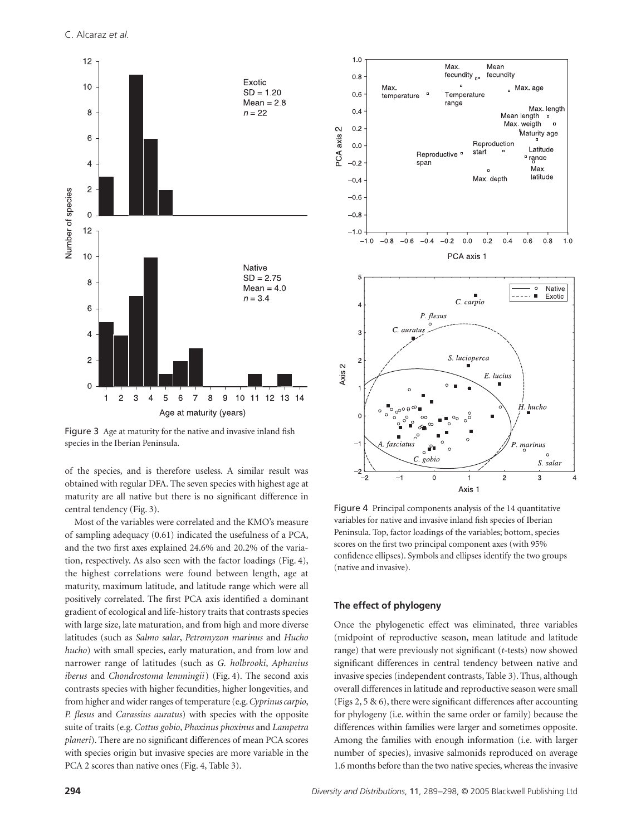

Figure 3 Age at maturity for the native and invasive inland fish species in the Iberian Peninsula.

of the species, and is therefore useless. A similar result was obtained with regular DFA. The seven species with highest age at maturity are all native but there is no significant difference in central tendency (Fig. 3).

Most of the variables were correlated and the KMO's measure of sampling adequacy (0.61) indicated the usefulness of a PCA, and the two first axes explained 24.6% and 20.2% of the variation, respectively. As also seen with the factor loadings (Fig. 4), the highest correlations were found between length, age at maturity, maximum latitude, and latitude range which were all positively correlated. The first PCA axis identified a dominant gradient of ecological and life-history traits that contrasts species with large size, late maturation, and from high and more diverse latitudes (such as *Salmo salar*, *Petromyzon marinus* and *Hucho hucho*) with small species, early maturation, and from low and narrower range of latitudes (such as *G. holbrooki*, *Aphanius iberus* and *Chondrostoma lemmingii*) (Fig. 4). The second axis contrasts species with higher fecundities, higher longevities, and from higher and wider ranges of temperature (e.g. *Cyprinus carpio*, *P. flesus* and *Carassius auratus*) with species with the opposite suite of traits (e.g. *Cottus gobio*, *Phoxinus phoxinus* and *Lampetra planeri*). There are no significant differences of mean PCA scores with species origin but invasive species are more variable in the PCA 2 scores than native ones (Fig. 4, Table 3).



Figure 4 Principal components analysis of the 14 quantitative variables for native and invasive inland fish species of Iberian Peninsula. Top, factor loadings of the variables; bottom, species scores on the first two principal component axes (with 95% confidence ellipses). Symbols and ellipses identify the two groups (native and invasive).

#### **The effect of phylogeny**

Once the phylogenetic effect was eliminated, three variables (midpoint of reproductive season, mean latitude and latitude range) that were previously not significant (*t*-tests) now showed significant differences in central tendency between native and invasive species (independent contrasts, Table 3). Thus, although overall differences in latitude and reproductive season were small (Figs 2, 5 & 6), there were significant differences after accounting for phylogeny (i.e. within the same order or family) because the differences within families were larger and sometimes opposite. Among the families with enough information (i.e. with larger number of species), invasive salmonids reproduced on average 1.6 months before than the two native species, whereas the invasive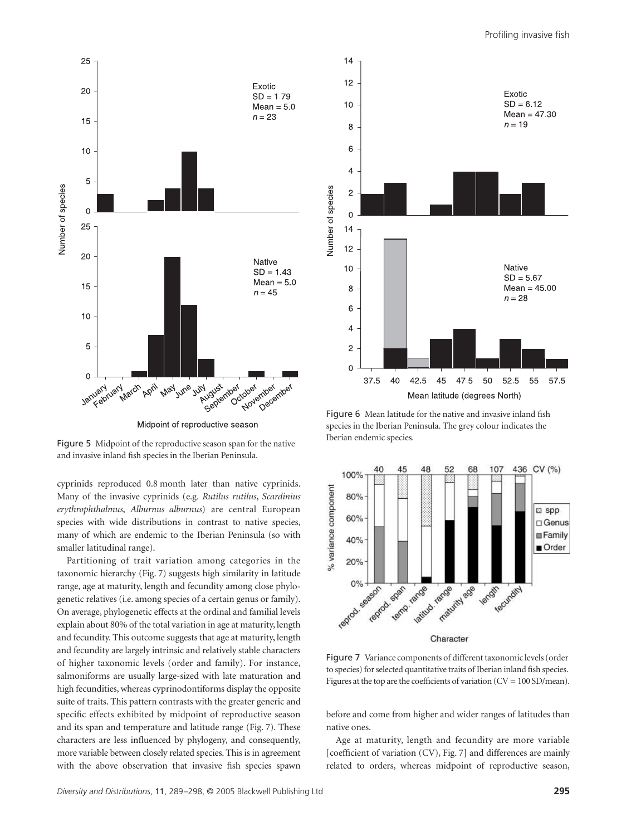



Midpoint of reproductive season

Figure 5 Midpoint of the reproductive season span for the native and invasive inland fish species in the Iberian Peninsula.

cyprinids reproduced 0.8 month later than native cyprinids. Many of the invasive cyprinids (e.g. *Rutilus rutilus*, *Scardinius erythrophthalmus*, *Alburnus alburnus*) are central European species with wide distributions in contrast to native species, many of which are endemic to the Iberian Peninsula (so with smaller latitudinal range).

Partitioning of trait variation among categories in the taxonomic hierarchy (Fig. 7) suggests high similarity in latitude range, age at maturity, length and fecundity among close phylogenetic relatives (i.e. among species of a certain genus or family). On average, phylogenetic effects at the ordinal and familial levels explain about 80% of the total variation in age at maturity, length and fecundity. This outcome suggests that age at maturity, length and fecundity are largely intrinsic and relatively stable characters of higher taxonomic levels (order and family). For instance, salmoniforms are usually large-sized with late maturation and high fecundities, whereas cyprinodontiforms display the opposite suite of traits. This pattern contrasts with the greater generic and specific effects exhibited by midpoint of reproductive season and its span and temperature and latitude range (Fig. 7). These characters are less influenced by phylogeny, and consequently, more variable between closely related species. This is in agreement with the above observation that invasive fish species spawn



Figure 6 Mean latitude for the native and invasive inland fish species in the Iberian Peninsula. The grey colour indicates the Iberian endemic species.



Figure 7 Variance components of different taxonomic levels (order to species) for selected quantitative traits of Iberian inland fish species. Figures at the top are the coefficients of variation (CV = 100 SD/mean).

before and come from higher and wider ranges of latitudes than native ones.

Age at maturity, length and fecundity are more variable [coefficient of variation (CV), Fig. 7] and differences are mainly related to orders, whereas midpoint of reproductive season,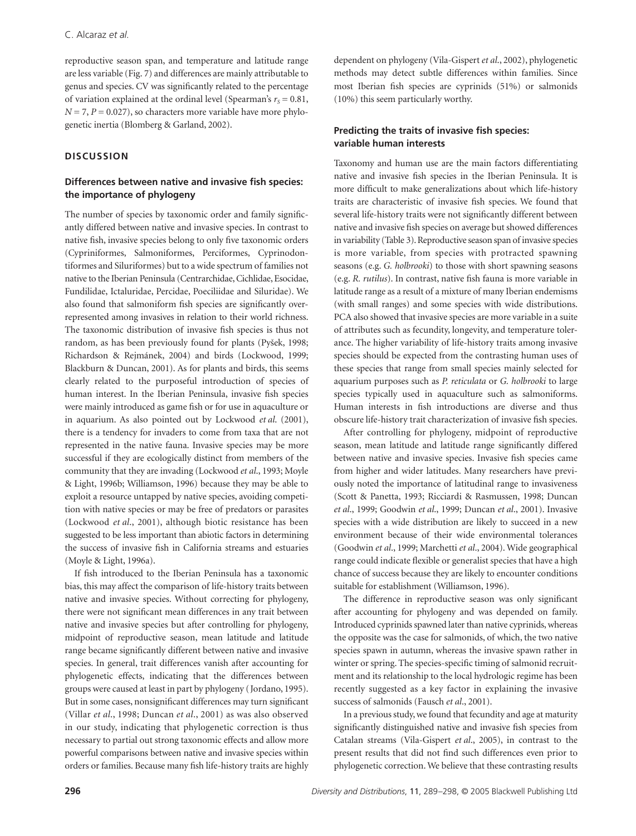reproductive season span, and temperature and latitude range are less variable (Fig. 7) and differences are mainly attributable to genus and species. CV was significantly related to the percentage of variation explained at the ordinal level (Spearman's  $r_s = 0.81$ ,  $N = 7$ ,  $P = 0.027$ ), so characters more variable have more phylogenetic inertia (Blomberg & Garland, 2002).

### **DISCUSSION**

## **Differences between native and invasive fish species: the importance of phylogeny**

The number of species by taxonomic order and family significantly differed between native and invasive species. In contrast to native fish, invasive species belong to only five taxonomic orders (Cypriniformes, Salmoniformes, Perciformes, Cyprinodontiformes and Siluriformes) but to a wide spectrum of families not native to the Iberian Peninsula (Centrarchidae, Cichlidae, Esocidae, Fundilidae, Ictaluridae, Percidae, Poeciliidae and Siluridae). We also found that salmoniform fish species are significantly overrepresented among invasives in relation to their world richness. The taxonomic distribution of invasive fish species is thus not random, as has been previously found for plants (Py*Í*ek, 1998; Richardson & Rejmánek, 2004) and birds (Lockwood, 1999; Blackburn & Duncan, 2001). As for plants and birds, this seems clearly related to the purposeful introduction of species of human interest. In the Iberian Peninsula, invasive fish species were mainly introduced as game fish or for use in aquaculture or in aquarium. As also pointed out by Lockwood *et al*. (2001), there is a tendency for invaders to come from taxa that are not represented in the native fauna. Invasive species may be more successful if they are ecologically distinct from members of the community that they are invading (Lockwood *et al*., 1993; Moyle & Light, 1996b; Williamson, 1996) because they may be able to exploit a resource untapped by native species, avoiding competition with native species or may be free of predators or parasites (Lockwood *et al*., 2001), although biotic resistance has been suggested to be less important than abiotic factors in determining the success of invasive fish in California streams and estuaries (Moyle & Light, 1996a).

If fish introduced to the Iberian Peninsula has a taxonomic bias, this may affect the comparison of life-history traits between native and invasive species. Without correcting for phylogeny, there were not significant mean differences in any trait between native and invasive species but after controlling for phylogeny, midpoint of reproductive season, mean latitude and latitude range became significantly different between native and invasive species. In general, trait differences vanish after accounting for phylogenetic effects, indicating that the differences between groups were caused at least in part by phylogeny (Jordano, 1995). But in some cases, nonsignificant differences may turn significant (Villar *et al*., 1998; Duncan *et al*., 2001) as was also observed in our study, indicating that phylogenetic correction is thus necessary to partial out strong taxonomic effects and allow more powerful comparisons between native and invasive species within orders or families. Because many fish life-history traits are highly dependent on phylogeny (Vila-Gispert *et al*., 2002), phylogenetic methods may detect subtle differences within families. Since most Iberian fish species are cyprinids (51%) or salmonids (10%) this seem particularly worthy.

## **Predicting the traits of invasive fish species: variable human interests**

Taxonomy and human use are the main factors differentiating native and invasive fish species in the Iberian Peninsula. It is more difficult to make generalizations about which life-history traits are characteristic of invasive fish species. We found that several life-history traits were not significantly different between native and invasive fish species on average but showed differences in variability (Table 3). Reproductive season span of invasive species is more variable, from species with protracted spawning seasons (e.g. *G. holbrooki*) to those with short spawning seasons (e.g. *R. rutilus*). In contrast, native fish fauna is more variable in latitude range as a result of a mixture of many Iberian endemisms (with small ranges) and some species with wide distributions. PCA also showed that invasive species are more variable in a suite of attributes such as fecundity, longevity, and temperature tolerance. The higher variability of life-history traits among invasive species should be expected from the contrasting human uses of these species that range from small species mainly selected for aquarium purposes such as *P. reticulata* or *G. holbrooki* to large species typically used in aquaculture such as salmoniforms. Human interests in fish introductions are diverse and thus obscure life-history trait characterization of invasive fish species.

After controlling for phylogeny, midpoint of reproductive season, mean latitude and latitude range significantly differed between native and invasive species. Invasive fish species came from higher and wider latitudes. Many researchers have previously noted the importance of latitudinal range to invasiveness (Scott & Panetta, 1993; Ricciardi & Rasmussen, 1998; Duncan *et al*., 1999; Goodwin *et al*., 1999; Duncan *et al*., 2001). Invasive species with a wide distribution are likely to succeed in a new environment because of their wide environmental tolerances (Goodwin *et al*., 1999; Marchetti *et al*., 2004). Wide geographical range could indicate flexible or generalist species that have a high chance of success because they are likely to encounter conditions suitable for establishment (Williamson, 1996).

The difference in reproductive season was only significant after accounting for phylogeny and was depended on family. Introduced cyprinids spawned later than native cyprinids, whereas the opposite was the case for salmonids, of which, the two native species spawn in autumn, whereas the invasive spawn rather in winter or spring. The species-specific timing of salmonid recruitment and its relationship to the local hydrologic regime has been recently suggested as a key factor in explaining the invasive success of salmonids (Fausch *et al*., 2001).

In a previous study, we found that fecundity and age at maturity significantly distinguished native and invasive fish species from Catalan streams (Vila-Gispert *et al*., 2005), in contrast to the present results that did not find such differences even prior to phylogenetic correction. We believe that these contrasting results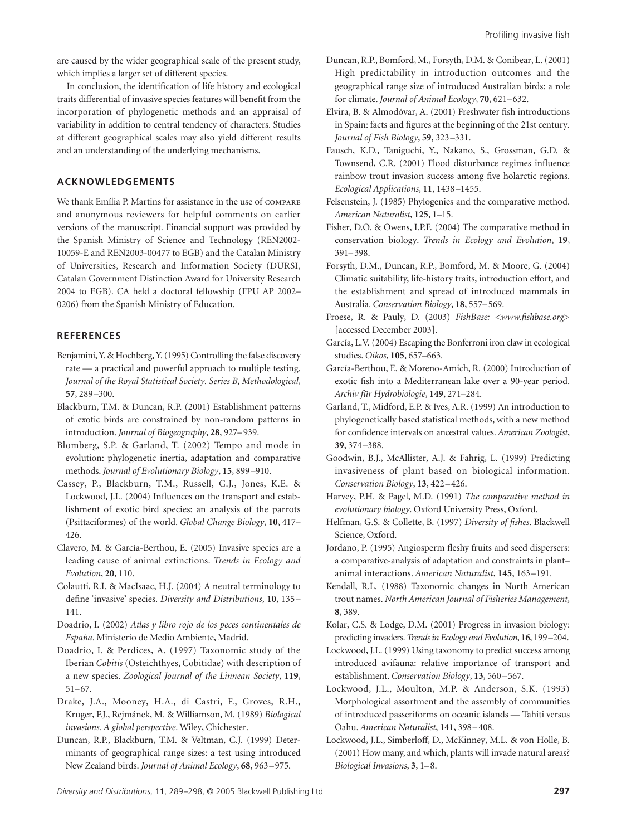are caused by the wider geographical scale of the present study, which implies a larger set of different species.

In conclusion, the identification of life history and ecological traits differential of invasive species features will benefit from the incorporation of phylogenetic methods and an appraisal of variability in addition to central tendency of characters. Studies at different geographical scales may also yield different results and an understanding of the underlying mechanisms.

## **ACKNOWLEDGEMENTS**

We thank Emília P. Martins for assistance in the use of COMPARE and anonymous reviewers for helpful comments on earlier versions of the manuscript. Financial support was provided by the Spanish Ministry of Science and Technology (REN2002- 10059-E and REN2003-00477 to EGB) and the Catalan Ministry of Universities, Research and Information Society (DURSI, Catalan Government Distinction Award for University Research 2004 to EGB). CA held a doctoral fellowship (FPU AP 2002– 0206) from the Spanish Ministry of Education.

## **REFERENCES**

- Benjamini, Y. & Hochberg, Y. (1995) Controlling the false discovery rate — a practical and powerful approach to multiple testing. *Journal of the Royal Statistical Society. Series B, Methodological*, **57**, 289–300.
- Blackburn, T.M. & Duncan, R.P. (2001) Establishment patterns of exotic birds are constrained by non-random patterns in introduction. *Journal of Biogeography*, **28**, 927–939.

Blomberg, S.P. & Garland, T. (2002) Tempo and mode in evolution: phylogenetic inertia, adaptation and comparative methods. *Journal of Evolutionary Biology*, **15**, 899–910.

- Cassey, P., Blackburn, T.M., Russell, G.J., Jones, K.E. & Lockwood, J.L. (2004) Influences on the transport and establishment of exotic bird species: an analysis of the parrots (Psittaciformes) of the world. *Global Change Biology*, **10**, 417– 426.
- Clavero, M. & García-Berthou, E. (2005) Invasive species are a leading cause of animal extinctions. *Trends in Ecology and Evolution*, **20**, 110.
- Colautti, R.I. & MacIsaac, H.J. (2004) A neutral terminology to define 'invasive' species. *Diversity and Distributions*, **10**, 135– 141.

Doadrio, I. (2002) *Atlas y libro rojo de los peces continentales de España*. Ministerio de Medio Ambiente, Madrid.

Doadrio, I. & Perdices, A. (1997) Taxonomic study of the Iberian *Cobitis* (Osteichthyes, Cobitidae) with description of a new species. *Zoological Journal of the Linnean Society*, **119**, 51–67.

Drake, J.A., Mooney, H.A., di Castri, F., Groves, R.H., Kruger, F.J., Rejmánek, M. & Williamson, M. (1989) *Biological invasions. A global perspective*. Wiley, Chichester.

Duncan, R.P., Blackburn, T.M. & Veltman, C.J. (1999) Determinants of geographical range sizes: a test using introduced New Zealand birds. *Journal of Animal Ecology*, **68**, 963–975.

- Duncan, R.P., Bomford, M., Forsyth, D.M. & Conibear, L. (2001) High predictability in introduction outcomes and the geographical range size of introduced Australian birds: a role for climate. *Journal of Animal Ecology*, **70**, 621–632.
- Elvira, B. & Almodóvar, A. (2001) Freshwater fish introductions in Spain: facts and figures at the beginning of the 21st century. *Journal of Fish Biology*, **59**, 323–331.
- Fausch, K.D., Taniguchi, Y., Nakano, S., Grossman, G.D. & Townsend, C.R. (2001) Flood disturbance regimes influence rainbow trout invasion success among five holarctic regions. *Ecological Applications*, **11**, 1438–1455.
- Felsenstein, J. (1985) Phylogenies and the comparative method. *American Naturalist*, **125**, 1–15.
- Fisher, D.O. & Owens, I.P.F. (2004) The comparative method in conservation biology. *Trends in Ecology and Evolution*, **19**, 391–398.
- Forsyth, D.M., Duncan, R.P., Bomford, M. & Moore, G. (2004) Climatic suitability, life-history traits, introduction effort, and the establishment and spread of introduced mammals in Australia. *Conservation Biology*, **18**, 557–569.
- Froese, R. & Pauly, D. (2003) *FishBase: <www.fishbase.org*> [accessed December 2003].
- García, L.V. (2004) Escaping the Bonferroni iron claw in ecological studies. *Oikos*, **105**, 657–663.
- García-Berthou, E. & Moreno-Amich, R. (2000) Introduction of exotic fish into a Mediterranean lake over a 90-year period. *Archiv für Hydrobiologie*, **149**, 271–284.
- Garland, T., Midford, E.P. & Ives, A.R. (1999) An introduction to phylogenetically based statistical methods, with a new method for confidence intervals on ancestral values. *American Zoologist*, **39**, 374–388.
- Goodwin, B.J., McAllister, A.J. & Fahrig, L. (1999) Predicting invasiveness of plant based on biological information. *Conservation Biology*, **13**, 422–426.
- Harvey, P.H. & Pagel, M.D. (1991) *The comparative method in evolutionary biology*. Oxford University Press, Oxford.
- Helfman, G.S. & Collette, B. (1997) *Diversity of fishes*. Blackwell Science, Oxford.
- Jordano, P. (1995) Angiosperm fleshy fruits and seed dispersers: a comparative-analysis of adaptation and constraints in plant– animal interactions. *American Naturalist*, **145**, 163–191.
- Kendall, R.L. (1988) Taxonomic changes in North American trout names. *North American Journal of Fisheries Management*, **8**, 389.
- Kolar, C.S. & Lodge, D.M. (2001) Progress in invasion biology: predicting invaders. *Trends in Ecology and Evolution*, **16**, 199–204.
- Lockwood, J.L. (1999) Using taxonomy to predict success among introduced avifauna: relative importance of transport and establishment. *Conservation Biology*, **13**, 560–567.
- Lockwood, J.L., Moulton, M.P. & Anderson, S.K. (1993) Morphological assortment and the assembly of communities of introduced passeriforms on oceanic islands — Tahiti versus Oahu. *American Naturalist*, **141**, 398–408.
- Lockwood, J.L., Simberloff, D., McKinney, M.L. & von Holle, B. (2001) How many, and which, plants will invade natural areas? *Biological Invasions*, **3**, 1–8.